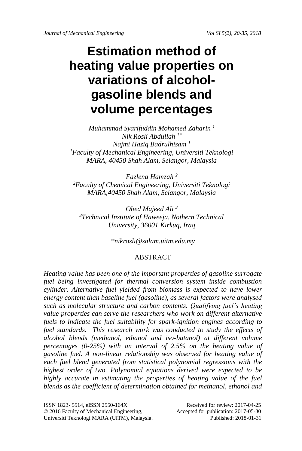# **Estimation method of heating value properties on variations of alcoholgasoline blends and volume percentages**

*Muhammad Syarifuddin Mohamed Zaharin <sup>1</sup> Nik Rosli Abdullah 1\* Najmi Haziq Badrulhisam <sup>1</sup> <sup>1</sup>Faculty of Mechanical Engineering, Universiti Teknologi MARA, 40450 Shah Alam, Selangor, Malaysia*

*Fazlena Hamzah <sup>2</sup> <sup>2</sup>Faculty of Chemical Engineering, Universiti Teknologi MARA,40450 Shah Alam, Selangor, Malaysia*

*Obed Majeed Ali <sup>3</sup> <sup>3</sup>Technical Institute of Haweeja, Nothern Technical University, 36001 Kirkuq, Iraq*

*\*nikrosli@salam.uitm.edu.my*

## ABSTRACT

*Heating value has been one of the important properties of gasoline surrogate fuel being investigated for thermal conversion system inside combustion cylinder. Alternative fuel yielded from biomass is expected to have lower energy content than baseline fuel (gasoline), as several factors were analysed such as molecular structure and carbon contents. Qualifying fuel's heating value properties can serve the researchers who work on different alternative fuels to indicate the fuel suitability for spark-ignition engines according to fuel standards. This research work was conducted to study the effects of alcohol blends (methanol, ethanol and iso-butanol) at different volume percentages (0-25%) with an interval of 2.5% on the heating value of gasoline fuel. A non-linear relationship was observed for heating value of each fuel blend generated from statistical polynomial regressions with the highest order of two. Polynomial equations derived were expected to be highly accurate in estimating the properties of heating value of the fuel blends as the coefficient of determination obtained for methanol, ethanol and* 

 $\_$ 

ISSN 1823- 5514, eISSN 2550-164X<br>
© 2016 Faculty of Mechanical Engineering, Accepted for publication: 2017-05-30

<sup>© 2016</sup> Faculty of Mechanical Engineering, Universiti Teknologi MARA (UiTM), Malaysia. Published: 2018-01-31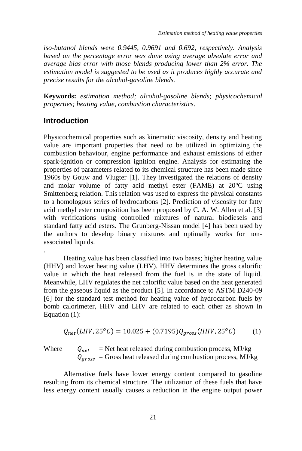*iso-butanol blends were 0.9445, 0.9691 and 0.692, respectively. Analysis based on the percentage error was done using average absolute error and average bias error with those blends producing lower than 2% error. The estimation model is suggested to be used as it produces highly accurate and precise results for the alcohol-gasoline blends.*

**Keywords:** *estimation method; alcohol-gasoline blends; physicochemical properties; heating value, combustion characteristics.*

## **Introduction**

Physicochemical properties such as kinematic viscosity, density and heating value are important properties that need to be utilized in optimizing the combustion behaviour, engine performance and exhaust emissions of either spark-ignition or compression ignition engine. Analysis for estimating the properties of parameters related to its chemical structure has been made since 1960s by Gouw and Vlugter [1]. They investigated the relations of density and molar volume of fatty acid methyl ester (FAME) at  $20^{\circ}$ C using Smittenberg relation. This relation was used to express the physical constants to a homologous series of hydrocarbons [2]. Prediction of viscosity for fatty acid methyl ester composition has been proposed by C. A. W. Allen et al. [3] with verifications using controlled mixtures of natural biodiesels and standard fatty acid esters. The Grunberg-Nissan model [4] has been used by the authors to develop binary mixtures and optimally works for nonassociated liquids.

Heating value has been classified into two bases; higher heating value (HHV) and lower heating value (LHV). HHV determines the gross calorific value in which the heat released from the fuel is in the state of liquid. Meanwhile, LHV regulates the net calorific value based on the heat generated from the gaseous liquid as the product [5]. In accordance to ASTM D240-09 [6] for the standard test method for heating value of hydrocarbon fuels by bomb calorimeter, HHV and LHV are related to each other as shown in Equation (1):

$$
Q_{net}(LHV, 25^{\circ}C) = 10.025 + (0.7195)Q_{gross}(HHV, 25^{\circ}C)
$$
 (1)

.

Where  $Q_{net}$  = Net heat released during combustion process, MJ/kg  $Q_{aross}$  = Gross heat released during combustion process, MJ/kg

Alternative fuels have lower energy content compared to gasoline resulting from its chemical structure. The utilization of these fuels that have less energy content usually causes a reduction in the engine output power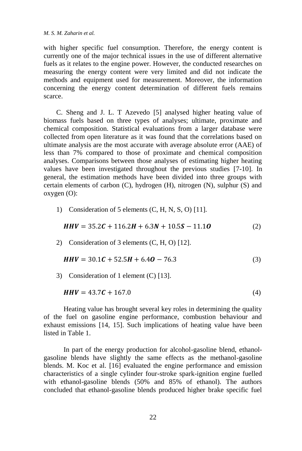with higher specific fuel consumption. Therefore, the energy content is currently one of the major technical issues in the use of different alternative fuels as it relates to the engine power. However, the conducted researches on measuring the energy content were very limited and did not indicate the methods and equipment used for measurement. Moreover, the information concerning the energy content determination of different fuels remains scarce.

C. Sheng and J. L. T Azevedo [5] analysed higher heating value of biomass fuels based on three types of analyses; ultimate, proximate and chemical composition. Statistical evaluations from a larger database were collected from open literature as it was found that the correlations based on ultimate analysis are the most accurate with average absolute error (AAE) of less than 7% compared to those of proximate and chemical composition analyses. Comparisons between those analyses of estimating higher heating values have been investigated throughout the previous studies [7-10]. In general, the estimation methods have been divided into three groups with certain elements of carbon (C), hydrogen (H), nitrogen (N), sulphur (S) and oxygen (O):

1) Consideration of 5 elements (C, H, N, S, O) [11].

$$
HHV = 35.2C + 116.2H + 6.3N + 10.5S - 11.1O
$$
 (2)

2) Consideration of 3 elements (C, H, O) [12].

$$
HHV = 30.1C + 52.5H + 6.4O - 76.3
$$
 (3)

3) Consideration of 1 element (C) [13].

$$
HHV = 43.7C + 167.0
$$
 (4)

Heating value has brought several key roles in determining the quality of the fuel on gasoline engine performance, combustion behaviour and exhaust emissions [14, 15]. Such implications of heating value have been listed in Table 1.

In part of the energy production for alcohol-gasoline blend, ethanolgasoline blends have slightly the same effects as the methanol-gasoline blends. M. Koc et al. [16] evaluated the engine performance and emission characteristics of a single cylinder four-stroke spark-ignition engine fuelled with ethanol-gasoline blends (50% and 85% of ethanol). The authors concluded that ethanol-gasoline blends produced higher brake specific fuel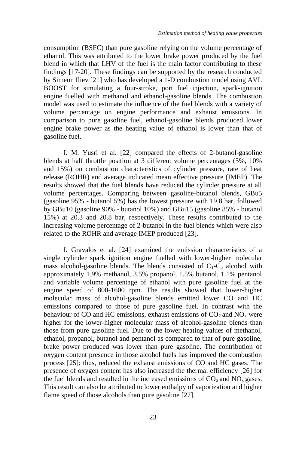consumption (BSFC) than pure gasoline relying on the volume percentage of ethanol. This was attributed to the lower brake power produced by the fuel blend in which that LHV of the fuel is the main factor contributing to these findings [17-20]. These findings can be supported by the research conducted by Simeon Iliev [21] who has developed a 1-D combustion model using AVL BOOST for simulating a four-stroke, port fuel injection, spark-ignition engine fuelled with methanol and ethanol-gasoline blends. The combustion model was used to estimate the influence of the fuel blends with a variety of volume percentage on engine performance and exhaust emissions. In comparison to pure gasoline fuel, ethanol-gasoline blends produced lower engine brake power as the heating value of ethanol is lower than that of gasoline fuel.

I. M. Yusri et al. [22] compared the effects of 2-butanol-gasoline blends at half throttle position at 3 different volume percentages (5%, 10% and 15%) on combustion characteristics of cylinder pressure, rate of heat release (ROHR) and average indicated mean effective pressure (IMEP). The results showed that the fuel blends have reduced the cylinder pressure at all volume percentages. Comparing between gasoline-butanol blends, GBu5 (gasoline 95% - butanol 5%) has the lowest pressure with 19.8 bar, followed by GBu10 (gasoline 90% - butanol 10%) and GBu15 (gasoline 85% - butanol 15%) at 20.3 and 20.8 bar, respectively. These results contributed to the increasing volume percentage of 2-butanol in the fuel blends which were also related to the ROHR and average IMEP produced [23].

I. Gravalos et al. [24] examined the emission characteristics of a single cylinder spark ignition engine fuelled with lower-higher molecular mass alcohol-gasoline blends. The blends consisted of  $C_1-C_5$  alcohol with approximately 1.9% methanol, 3.5% propanol, 1.5% butanol, 1.1% pentanol and variable volume percentage of ethanol with pure gasoline fuel at the engine speed of 800-1600 rpm. The results showed that lower-higher molecular mass of alcohol-gasoline blends emitted lower CO and HC emissions compared to those of pure gasoline fuel. In contrast with the behaviour of CO and HC emissions, exhaust emissions of  $CO<sub>2</sub>$  and  $NO<sub>x</sub>$  were higher for the lower-higher molecular mass of alcohol-gasoline blends than those from pure gasoline fuel. Due to the lower heating values of methanol, ethanol, propanol, butanol and pentanol as compared to that of pure gasoline, brake power produced was lower than pure gasoline. The contribution of oxygen content presence in those alcohol fuels has improved the combustion process [25]; thus, reduced the exhaust emissions of CO and HC gases. The presence of oxygen content has also increased the thermal efficiency [26] for the fuel blends and resulted in the increased emissions of  $CO<sub>2</sub>$  and  $NO<sub>x</sub>$  gases. This result can also be attributed to lower enthalpy of vaporization and higher flame speed of those alcohols than pure gasoline [27].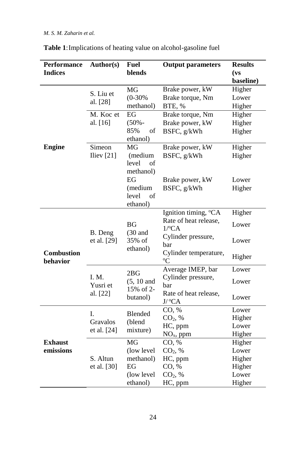| Performance                   | Author(s)                     | <b>Fuel</b>                                  | <b>Output parameters</b>         | <b>Results</b> |
|-------------------------------|-------------------------------|----------------------------------------------|----------------------------------|----------------|
| <b>Indices</b>                |                               | blends                                       |                                  | (vs)           |
|                               |                               |                                              |                                  | baseline)      |
|                               | S. Liu et<br>al. [28]         | MG                                           | Brake power, kW                  | Higher         |
|                               |                               | $(0-30%$                                     | Brake torque, Nm                 | Lower          |
|                               |                               | methanol)                                    | BTE, %                           | Higher         |
|                               | M. Koc et                     | EG                                           | Brake torque, Nm                 | Higher         |
|                               | al. [16]                      | $(50% -$                                     | Brake power, kW                  | Higher         |
|                               |                               | 85%<br>of<br>ethanol)                        | BSFC, g/kWh                      | Higher         |
| <b>Engine</b>                 | Simeon                        | MG                                           | Brake power, kW                  | Higher         |
|                               | Iliev $[21]$                  | (medium                                      | BSFC, g/kWh                      | Higher         |
|                               |                               | level<br>of                                  |                                  |                |
|                               |                               | methanol)                                    |                                  |                |
|                               |                               | EG                                           | Brake power, kW                  | Lower          |
|                               |                               | (medium                                      | BSFC, g/kWh                      | Higher         |
|                               |                               | level<br>of                                  |                                  |                |
|                               |                               | ethanol)                                     |                                  |                |
|                               | B. Deng<br>et al. [29]        | <b>BG</b><br>$(30$ and<br>35% of<br>ethanol) | Ignition timing, <sup>o</sup> CA | Higher         |
|                               |                               |                                              | Rate of heat release,            | Lower          |
|                               |                               |                                              | $1$ /°CA                         |                |
| <b>Combustion</b><br>behavior |                               |                                              | Cylinder pressure,               | Lower          |
|                               |                               |                                              | bar<br>Cylinder temperature,     |                |
|                               |                               |                                              | $\rm ^{o}C$                      | Higher         |
|                               | I. M.<br>Yusri et<br>al. [22] | 2BG<br>$(5, 10$ and<br>15% of 2-<br>butanol) | Average IMEP, bar                | Lower          |
|                               |                               |                                              | Cylinder pressure,               | Lower          |
|                               |                               |                                              | bar                              |                |
|                               |                               |                                              | Rate of heat release,<br>J/°CA   | Lower          |
| <b>Exhaust</b><br>emissions   | I.<br>Gravalos<br>et al. [24] | Blended                                      | CO, %                            | Lower          |
|                               |                               | (blend<br>mixture)                           | CO <sub>2</sub> , %              | Higher         |
|                               |                               |                                              | HC, ppm                          | Lower          |
|                               |                               |                                              | $NOx$ , ppm                      | Higher         |
|                               |                               | MG                                           | CO, %                            | Higher         |
|                               |                               | (low level                                   | CO <sub>2</sub> , %              | Lower          |
|                               | S. Altun                      | methanol)                                    | HC, ppm                          | Higher         |
|                               | et al. [30]                   | EG                                           | CO, %                            | Higher         |
|                               |                               | (low level                                   | CO <sub>2</sub> , %              | Lower          |
|                               |                               | ethanol)                                     | HC, ppm                          | Higher         |

**Table 1**:Implications of heating value on alcohol-gasoline fuel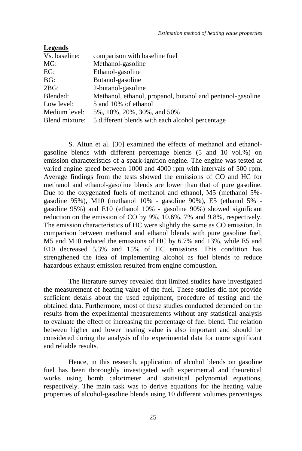| Legends        |                                                            |
|----------------|------------------------------------------------------------|
| Vs. baseline:  | comparison with baseline fuel                              |
| MG:            | Methanol-gasoline                                          |
| EG:            | Ethanol-gasoline                                           |
| BG:            | Butanol-gasoline                                           |
| 2BG:           | 2-butanol-gasoline                                         |
| Blended:       | Methanol, ethanol, propanol, butanol and pentanol-gasoline |
| Low level:     | 5 and 10% of ethanol                                       |
| Medium level:  | 5%, 10%, 20%, 30%, and 50%                                 |
| Blend mixture: | 5 different blends with each alcohol percentage            |

S. Altun et al. [30] examined the effects of methanol and ethanolgasoline blends with different percentage blends (5 and 10 vol.%) on emission characteristics of a spark-ignition engine. The engine was tested at varied engine speed between 1000 and 4000 rpm with intervals of 500 rpm. Average findings from the tests showed the emissions of CO and HC for methanol and ethanol-gasoline blends are lower than that of pure gasoline. Due to the oxygenated fuels of methanol and ethanol, M5 (methanol 5% gasoline 95%), M10 (methanol 10% - gasoline 90%), E5 (ethanol 5% gasoline 95%) and E10 (ethanol 10% - gasoline 90%) showed significant reduction on the emission of CO by 9%, 10.6%, 7% and 9.8%, respectively. The emission characteristics of HC were slightly the same as CO emission. In comparison between methanol and ethanol blends with pure gasoline fuel, M5 and M10 reduced the emissions of HC by 6.7% and 13%, while E5 and E10 decreased 5.3% and 15% of HC emissions. This condition has strengthened the idea of implementing alcohol as fuel blends to reduce hazardous exhaust emission resulted from engine combustion.

The literature survey revealed that limited studies have investigated the measurement of heating value of the fuel. These studies did not provide sufficient details about the used equipment, procedure of testing and the obtained data. Furthermore, most of these studies conducted depended on the results from the experimental measurements without any statistical analysis to evaluate the effect of increasing the percentage of fuel blend. The relation between higher and lower heating value is also important and should be considered during the analysis of the experimental data for more significant and reliable results.

Hence, in this research, application of alcohol blends on gasoline fuel has been thoroughly investigated with experimental and theoretical works using bomb calorimeter and statistical polynomial equations, respectively. The main task was to derive equations for the heating value properties of alcohol-gasoline blends using 10 different volumes percentages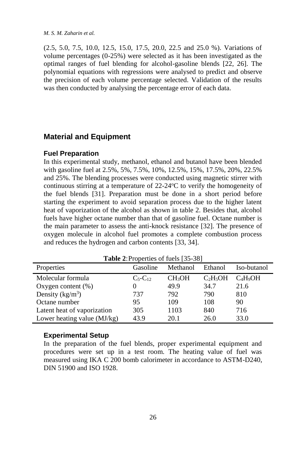(2.5, 5.0, 7.5, 10.0, 12.5, 15.0, 17.5, 20.0, 22.5 and 25.0 %). Variations of volume percentages (0-25%) were selected as it has been investigated as the optimal ranges of fuel blending for alcohol-gasoline blends [22, 26]. The polynomial equations with regressions were analysed to predict and observe the precision of each volume percentage selected. Validation of the results was then conducted by analysing the percentage error of each data.

## **Material and Equipment**

### **Fuel Preparation**

In this experimental study, methanol, ethanol and butanol have been blended with gasoline fuel at 2.5%, 5%, 7.5%, 10%, 12.5%, 15%, 17.5%, 20%, 22.5% and 25%. The blending processes were conducted using magnetic stirrer with continuous stirring at a temperature of  $22\n-24\n^{\circ}\text{C}$  to verify the homogeneity of the fuel blends [31]. Preparation must be done in a short period before starting the experiment to avoid separation process due to the higher latent heat of vaporization of the alcohol as shown in table 2. Besides that, alcohol fuels have higher octane number than that of gasoline fuel. Octane number is the main parameter to assess the anti-knock resistance [32]. The presence of oxygen molecule in alcohol fuel promotes a complete combustion process and reduces the hydrogen and carbon contents [33, 34].

| <b>Table 2. Froperties Of Tuels 133-361</b> |                |                    |            |             |  |  |  |
|---------------------------------------------|----------------|--------------------|------------|-------------|--|--|--|
| Properties                                  | Gasoline       | Methanol           | Ethanol    | Iso-butanol |  |  |  |
| Molecular formula                           | $C_5 - C_{12}$ | CH <sub>3</sub> OH | $C_2H_5OH$ | $C_4H_9OH$  |  |  |  |
| Oxygen content $(\%)$                       |                | 49.9               | 34.7       | 21.6        |  |  |  |
| Density $(kg/m^3)$                          | 737            | 792                | 790        | 810         |  |  |  |
| Octane number                               | 95             | 109                | 108        | 90          |  |  |  |
| Latent heat of vaporization                 | 305            | 1103               | 840        | 716         |  |  |  |
| Lower heating value (MJ/kg)                 | 43.9           | 20.1               | 26.0       | 33.0        |  |  |  |

Table 2<sup>.</sup> Properties of fuels [25-28]

### **Experimental Setup**

In the preparation of the fuel blends, proper experimental equipment and procedures were set up in a test room. The heating value of fuel was measured using IKA C 200 bomb calorimeter in accordance to ASTM-D240, DIN 51900 and ISO 1928.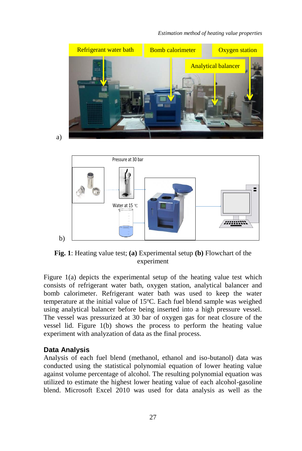

a)



**Fig. 1**: Heating value test; **(a)** Experimental setup **(b)** Flowchart of the experiment

Figure 1(a) depicts the experimental setup of the heating value test which consists of refrigerant water bath, oxygen station, analytical balancer and bomb calorimeter. Refrigerant water bath was used to keep the water temperature at the initial value of  $15^{\circ}$ C. Each fuel blend sample was weighed using analytical balancer before being inserted into a high pressure vessel. The vessel was pressurized at 30 bar of oxygen gas for neat closure of the vessel lid. Figure 1(b) shows the process to perform the heating value experiment with analyzation of data as the final process.

#### **Data Analysis**

Analysis of each fuel blend (methanol, ethanol and iso-butanol) data was conducted using the statistical polynomial equation of lower heating value against volume percentage of alcohol. The resulting polynomial equation was utilized to estimate the highest lower heating value of each alcohol-gasoline blend. Microsoft Excel 2010 was used for data analysis as well as the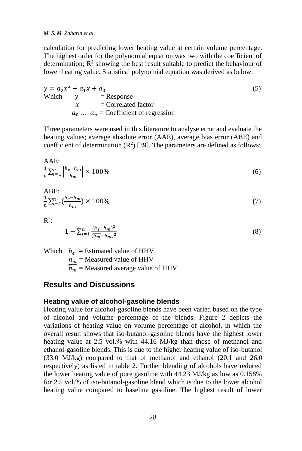calculation for predicting lower heating value at certain volume percentage. The highest order for the polynomial equation was two with the coefficient of determination;  $\mathbb{R}^2$  showing the best result suitable to predict the behaviour of lower heating value. Statistical polynomial equation was derived as below:

 $y = a_2 x^2 + a_1 x + a_0$  (5) Which  $v =$  Response  $x =$  Correlated factor  $a_0 \dots a_n$  = Coefficient of regression

Three parameters were used in this literature to analyse error and evaluate the heating values; average absolute error (AAE), average bias error (ABE) and coefficient of determination  $(R^2)$  [39]. The parameters are defined as follows:

$$
\text{AAE:} \\
\frac{1}{n}\sum_{i=1}^{n} \left| \frac{h_e - h_m}{h_m} \right| \times 100\%
$$
\n<sup>(6)</sup>

$$
\text{ABE:} \\
\frac{1}{n} \sum_{i=1}^{n} \left( \frac{h_e - h_m}{h_m} \right) \times 100\% \tag{7}
$$

 $\mathbb{R}^2$ :

 $\lambda = -$ 

$$
1 - \sum_{i=1}^{n} \frac{(h_e - h_m)^2}{(\overline{h_m} - h_m)^2} \tag{8}
$$

Which  $h_e$  = Estimated value of HHV  $h_m$  = Measured value of HHV  $\overline{h_m}$  = Measured average value of HHV

## **Results and Discussions**

#### **Heating value of alcohol-gasoline blends**

Heating value for alcohol-gasoline blends have been varied based on the type of alcohol and volume percentage of the blends. Figure 2 depicts the variations of heating value on volume percentage of alcohol, in which the overall result shows that iso-butanol-gasoline blends have the highest lower heating value at 2.5 vol.% with 44.16 MJ/kg than those of methanol and ethanol-gasoline blends. This is due to the higher heating value of iso-butanol (33.0 MJ/kg) compared to that of methanol and ethanol (20.1 and 26.0 respectively) as listed in table 2. Further blending of alcohols have reduced the lower heating value of pure gasoline with 44.23 MJ/kg as low as 0.158% for 2.5 vol.% of iso-butanol-gasoline blend which is due to the lower alcohol heating value compared to baseline gasoline. The highest result of lower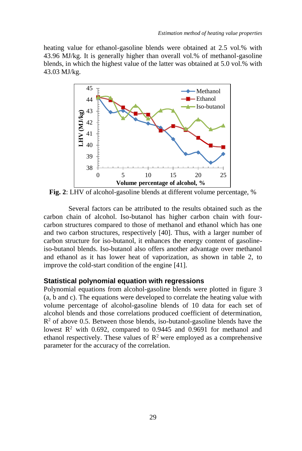heating value for ethanol-gasoline blends were obtained at 2.5 vol.% with 43.96 MJ/kg. It is generally higher than overall vol.% of methanol-gasoline blends, in which the highest value of the latter was obtained at 5.0 vol.% with 43.03 MJ/kg.



**Fig. 2**: LHV of alcohol-gasoline blends at different volume percentage, %

Several factors can be attributed to the results obtained such as the carbon chain of alcohol. Iso-butanol has higher carbon chain with fourcarbon structures compared to those of methanol and ethanol which has one and two carbon structures, respectively [40]. Thus, with a larger number of carbon structure for iso-butanol, it enhances the energy content of gasolineiso-butanol blends. Iso-butanol also offers another advantage over methanol and ethanol as it has lower heat of vaporization, as shown in table 2, to improve the cold-start condition of the engine [41].

### **Statistical polynomial equation with regressions**

Polynomial equations from alcohol-gasoline blends were plotted in figure 3 (a, b and c). The equations were developed to correlate the heating value with volume percentage of alcohol-gasoline blends of 10 data for each set of alcohol blends and those correlations produced coefficient of determination,  $\mathbb{R}^2$  of above 0.5. Between those blends, iso-butanol-gasoline blends have the lowest  $R^2$  with 0.692, compared to 0.9445 and 0.9691 for methanol and ethanol respectively. These values of  $\mathbb{R}^2$  were employed as a comprehensive parameter for the accuracy of the correlation.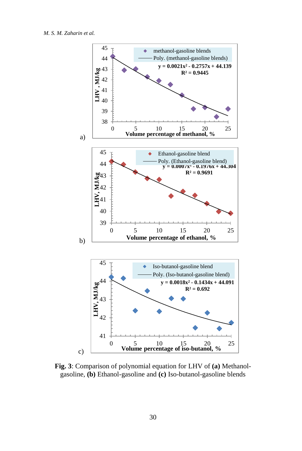

**Fig. 3**: Comparison of polynomial equation for LHV of **(a)** Methanolgasoline, **(b)** Ethanol-gasoline and **(c)** Iso-butanol-gasoline blends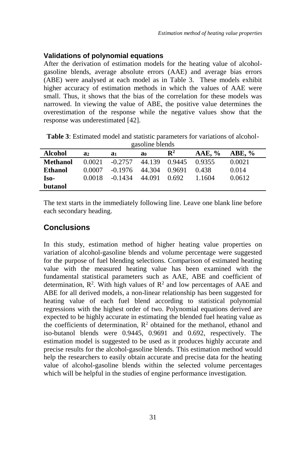# **Validations of polynomial equations**

After the derivation of estimation models for the heating value of alcoholgasoline blends, average absolute errors (AAE) and average bias errors (ABE) were analysed at each model as in Table 3. These models exhibit higher accuracy of estimation methods in which the values of AAE were small. Thus, it shows that the bias of the correlation for these models was narrowed. In viewing the value of ABE, the positive value determines the overestimation of the response while the negative values show that the response was underestimated [42].

| gasonne pienus |        |           |        |                |           |          |  |
|----------------|--------|-----------|--------|----------------|-----------|----------|--|
| <b>Alcohol</b> | a2     | a1        | a0     | $\mathbf{R}^2$ | $AAE, \%$ | ABE, $%$ |  |
| Methanol       | 0.0021 | $-0.2757$ | 44.139 | 0.9445         | 0.9355    | 0.0021   |  |
| <b>Ethanol</b> | 0.0007 | $-0.1976$ | 44.304 | 0.9691         | 0.438     | 0.014    |  |
| Iso-           | 0.0018 | $-0.1434$ | 44.091 | 0.692          | 1 1604    | 0.0612   |  |
| butanol        |        |           |        |                |           |          |  |

**Table 3**: Estimated model and statistic parameters for variations of alcoholgasoline blends

The text starts in the immediately following line. Leave one blank line before each secondary heading.

# **Conclusions**

In this study, estimation method of higher heating value properties on variation of alcohol-gasoline blends and volume percentage were suggested for the purpose of fuel blending selections. Comparison of estimated heating value with the measured heating value has been examined with the fundamental statistical parameters such as AAE, ABE and coefficient of determination,  $\mathbb{R}^2$ . With high values of  $\mathbb{R}^2$  and low percentages of AAE and ABE for all derived models, a non-linear relationship has been suggested for heating value of each fuel blend according to statistical polynomial regressions with the highest order of two. Polynomial equations derived are expected to be highly accurate in estimating the blended fuel heating value as the coefficients of determination,  $R^2$  obtained for the methanol, ethanol and iso-butanol blends were 0.9445, 0.9691 and 0.692, respectively. The estimation model is suggested to be used as it produces highly accurate and precise results for the alcohol-gasoline blends. This estimation method would help the researchers to easily obtain accurate and precise data for the heating value of alcohol-gasoline blends within the selected volume percentages which will be helpful in the studies of engine performance investigation.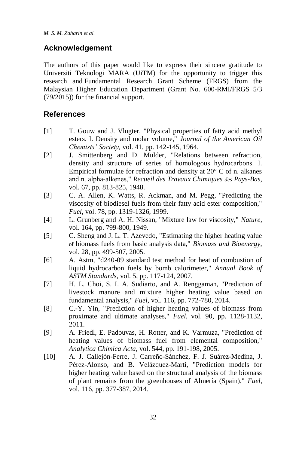# **Acknowledgement**

The authors of this paper would like to express their sincere gratitude to Universiti Teknologi MARA (UiTM) for the opportunity to trigger this research and Fundamental Research Grant Scheme (FRGS) from the Malaysian Higher Education Department (Grant No. 600-RMI/FRGS 5/3 (79/2015)) for the financial support.

# **References**

- [1] T. Gouw and J. Vlugter, "Physical properties of fatty acid methyl esters. I. Density and molar volume," *Journal of the American Oil Chemists' Society,* vol. 41, pp. 142-145, 1964.
- [2] J. Smittenberg and D. Mulder, "Relations between refraction, density and structure of series of homologous hydrocarbons. I. Empirical formulae for refraction and density at 20° C of n. alkanes and n. alpha‐alkenes," *Recueil des Travaux Chimiques des Pays-Bas,*  vol. 67, pp. 813-825, 1948.
- [3] C. A. Allen, K. Watts, R. Ackman, and M. Pegg, "Predicting the viscosity of biodiesel fuels from their fatty acid ester composition," *Fuel,* vol. 78, pp. 1319-1326, 1999.
- [4] L. Grunberg and A. H. Nissan, "Mixture law for viscosity," *Nature,*  vol. 164, pp. 799-800, 1949.
- [5] C. Sheng and J. L. T. Azevedo, "Estimating the higher heating value of biomass fuels from basic analysis data," *Biomass and Bioenergy,*  vol. 28, pp. 499-507, 2005.
- [6] A. Astm, "d240-09 standard test method for heat of combustion of liquid hydrocarbon fuels by bomb calorimeter," *Annual Book of ASTM Standards,* vol. 5, pp. 117-124, 2007.
- [7] H. L. Choi, S. I. A. Sudiarto, and A. Renggaman, "Prediction of livestock manure and mixture higher heating value based on fundamental analysis," *Fuel,* vol. 116, pp. 772-780, 2014.
- [8] C.-Y. Yin, "Prediction of higher heating values of biomass from proximate and ultimate analyses," *Fuel,* vol. 90, pp. 1128-1132, 2011.
- [9] A. Friedl, E. Padouvas, H. Rotter, and K. Varmuza, "Prediction of heating values of biomass fuel from elemental composition," *Analytica Chimica Acta,* vol. 544, pp. 191-198, 2005.
- [10] A. J. Callejón-Ferre, J. Carreño-Sánchez, F. J. Suárez-Medina, J. Pérez-Alonso, and B. Velázquez-Martí, "Prediction models for higher heating value based on the structural analysis of the biomass of plant remains from the greenhouses of Almería (Spain)," *Fuel,*  vol. 116, pp. 377-387, 2014.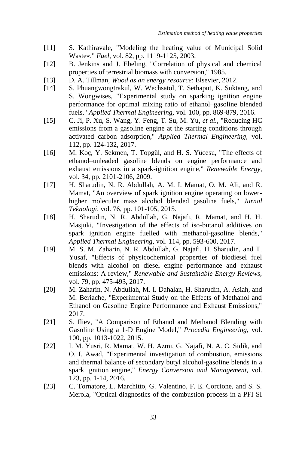- [11] S. Kathiravale, "Modeling the heating value of Municipal Solid Waste<sup>\*</sup>," *Fuel*, vol. 82, pp. 1119-1125, 2003.
- [12] B. Jenkins and J. Ebeling, "Correlation of physical and chemical properties of terrestrial biomass with conversion," 1985.
- [13] D. A. Tillman, *Wood as an energy resource*: Elsevier, 2012.
- [14] S. Phuangwongtrakul, W. Wechsatol, T. Sethaput, K. Suktang, and S. Wongwises, "Experimental study on sparking ignition engine performance for optimal mixing ratio of ethanol–gasoline blended fuels," *Applied Thermal Engineering,* vol. 100, pp. 869-879, 2016.
- [15] C. Ji, P. Xu, S. Wang, Y. Feng, T. Su, M. Yu*, et al.*, "Reducing HC emissions from a gasoline engine at the starting conditions through activated carbon adsorption," *Applied Thermal Engineering,* vol. 112, pp. 124-132, 2017.
- [16] M. Koç, Y. Sekmen, T. Topgül, and H. S. Yücesu, "The effects of ethanol–unleaded gasoline blends on engine performance and exhaust emissions in a spark-ignition engine," *Renewable Energy,*  vol. 34, pp. 2101-2106, 2009.
- [17] H. Sharudin, N. R. Abdullah, A. M. I. Mamat, O. M. Ali, and R. Mamat, "An overview of spark ignition engine operating on lowerhigher molecular mass alcohol blended gasoline fuels," *Jurnal Teknologi,* vol. 76, pp. 101-105, 2015.
- [18] H. Sharudin, N. R. Abdullah, G. Najafi, R. Mamat, and H. H. Masjuki, "Investigation of the effects of iso-butanol additives on spark ignition engine fuelled with methanol-gasoline blends," *Applied Thermal Engineering,* vol. 114, pp. 593-600, 2017.
- [19] M. S. M. Zaharin, N. R. Abdullah, G. Najafi, H. Sharudin, and T. Yusaf, "Effects of physicochemical properties of biodiesel fuel blends with alcohol on diesel engine performance and exhaust emissions: A review," *Renewable and Sustainable Energy Reviews,*  vol. 79, pp. 475-493, 2017.
- [20] M. Zaharin, N. Abdullah, M. I. Dahalan, H. Sharudin, A. Asiah, and M. Beriache, "Experimental Study on the Effects of Methanol and Ethanol on Gasoline Engine Performance and Exhaust Emissions," 2017.
- [21] S. Iliev, "A Comparison of Ethanol and Methanol Blending with Gasoline Using a 1-D Engine Model," *Procedia Engineering,* vol. 100, pp. 1013-1022, 2015.
- [22] I. M. Yusri, R. Mamat, W. H. Azmi, G. Najafi, N. A. C. Sidik, and O. I. Awad, "Experimental investigation of combustion, emissions and thermal balance of secondary butyl alcohol-gasoline blends in a spark ignition engine," *Energy Conversion and Management,* vol. 123, pp. 1-14, 2016.
- [23] C. Tornatore, L. Marchitto, G. Valentino, F. E. Corcione, and S. S. Merola, "Optical diagnostics of the combustion process in a PFI SI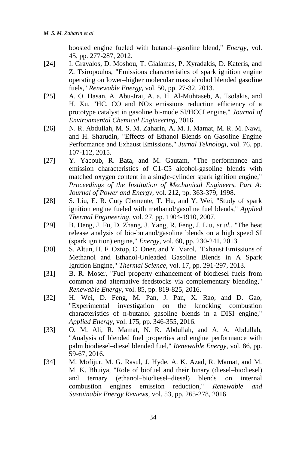boosted engine fueled with butanol–gasoline blend," *Energy,* vol. 45, pp. 277-287, 2012.

- [24] I. Gravalos, D. Moshou, T. Gialamas, P. Xyradakis, D. Kateris, and Z. Tsiropoulos, "Emissions characteristics of spark ignition engine operating on lower–higher molecular mass alcohol blended gasoline fuels," *Renewable Energy,* vol. 50, pp. 27-32, 2013.
- [25] A. O. Hasan, A. Abu-Jrai, A. a. H. Al-Muhtaseb, A. Tsolakis, and H. Xu, "HC, CO and NOx emissions reduction efficiency of a prototype catalyst in gasoline bi-mode SI/HCCI engine," *Journal of Environmental Chemical Engineering,* 2016.
- [26] N. R. Abdullah, M. S. M. Zaharin, A. M. I. Mamat, M. R. M. Nawi, and H. Sharudin, "Effects of Ethanol Blends on Gasoline Engine Performance and Exhaust Emissions," *Jurnal Teknologi,* vol. 76, pp. 107-112, 2015.
- [27] Y. Yacoub, R. Bata, and M. Gautam, "The performance and emission characteristics of C1-C5 alcohol-gasoline blends with matched oxygen content in a single-cylinder spark ignition engine," *Proceedings of the Institution of Mechanical Engineers, Part A: Journal of Power and Energy,* vol. 212, pp. 363-379, 1998.
- [28] S. Liu, E. R. Cuty Clemente, T. Hu, and Y. Wei, "Study of spark" ignition engine fueled with methanol/gasoline fuel blends," *Applied Thermal Engineering,* vol. 27, pp. 1904-1910, 2007.
- [29] B. Deng, J. Fu, D. Zhang, J. Yang, R. Feng, J. Liu*, et al.*, "The heat release analysis of bio-butanol/gasoline blends on a high speed SI (spark ignition) engine," *Energy,* vol. 60, pp. 230-241, 2013.
- [30] S. Altun, H. F. Oztop, C. Oner, and Y. Varol, "Exhaust Emissions of Methanol and Ethanol-Unleaded Gasoline Blends in A Spark Ignition Engine," *Thermal Science,* vol. 17, pp. 291-297, 2013.
- [31] B. R. Moser, "Fuel property enhancement of biodiesel fuels from common and alternative feedstocks via complementary blending," *Renewable Energy,* vol. 85, pp. 819-825, 2016.
- [32] H. Wei, D. Feng, M. Pan, J. Pan, X. Rao, and D. Gao, "Experimental investigation on the knocking combustion characteristics of n-butanol gasoline blends in a DISI engine," *Applied Energy,* vol. 175, pp. 346-355, 2016.
- [33] O. M. Ali, R. Mamat, N. R. Abdullah, and A. A. Abdullah, "Analysis of blended fuel properties and engine performance with palm biodiesel–diesel blended fuel," *Renewable Energy,* vol. 86, pp. 59-67, 2016.
- [34] M. Mofijur, M. G. Rasul, J. Hyde, A. K. Azad, R. Mamat, and M. M. K. Bhuiya, "Role of biofuel and their binary (diesel–biodiesel) and ternary (ethanol–biodiesel–diesel) blends on internal combustion engines emission reduction," *Renewable and Sustainable Energy Reviews,* vol. 53, pp. 265-278, 2016.